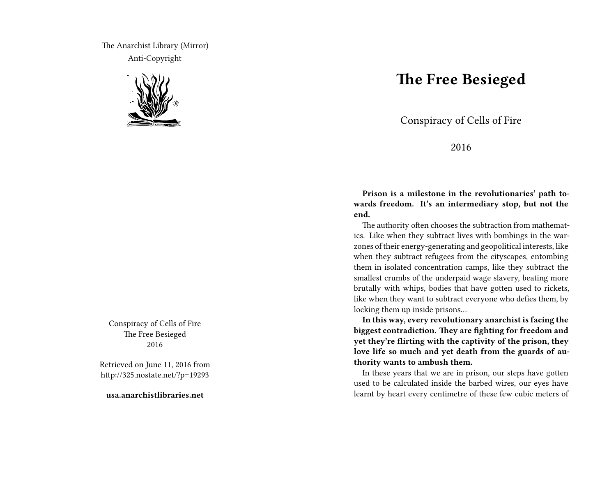The Anarchist Library (Mirror) Anti-Copyright



Conspiracy of Cells of Fire The Free Besieged 2016

Retrieved on June 11, 2016 from http://325.nostate.net/?p=19293

**usa.anarchistlibraries.net**

## **The Free Besieged**

Conspiracy of Cells of Fire

2016

**Prison is a milestone in the revolutionaries' path towards freedom. It's an intermediary stop, but not the end.**

The authority often chooses the subtraction from mathematics. Like when they subtract lives with bombings in the warzones of their energy-generating and geopolitical interests, like when they subtract refugees from the cityscapes, entombing them in isolated concentration camps, like they subtract the smallest crumbs of the underpaid wage slavery, beating more brutally with whips, bodies that have gotten used to rickets, like when they want to subtract everyone who defies them, by locking them up inside prisons…

**In this way, every revolutionary anarchist is facing the biggest contradiction. They are fighting for freedom and yet they're flirting with the captivity of the prison, they love life so much and yet death from the guards of authority wants to ambush them.**

In these years that we are in prison, our steps have gotten used to be calculated inside the barbed wires, our eyes have learnt by heart every centimetre of these few cubic meters of